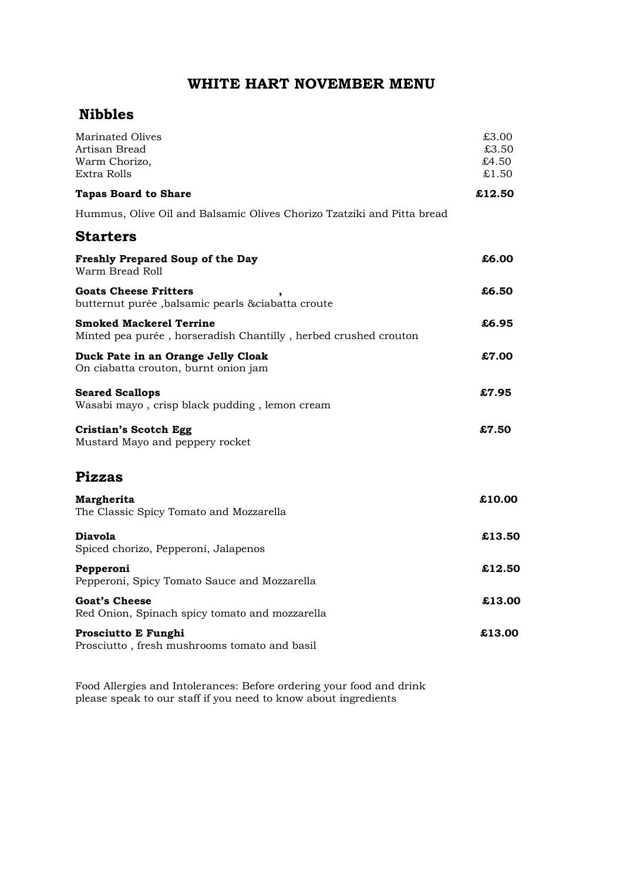# **WHITE HART NOVEMBER MENU**

## **Nibbles**

| Marinated Olives<br>Artisan Bread<br>Warm Chorizo,                                                | £3.00<br>£3.50<br>£4.50 |
|---------------------------------------------------------------------------------------------------|-------------------------|
| Extra Rolls                                                                                       | £1.50                   |
| <b>Tapas Board to Share</b>                                                                       | £12.50                  |
| Hummus, Olive Oil and Balsamic Olives Chorizo Tzatziki and Pitta bread                            |                         |
| <b>Starters</b>                                                                                   |                         |
| <b>Freshly Prepared Soup of the Day</b><br>Warm Bread Roll                                        | £6.00                   |
| <b>Goats Cheese Fritters</b><br>butternut purée, balsamic pearls & ciabatta croute                | £6.50                   |
| <b>Smoked Mackerel Terrine</b><br>Minted pea purée, horseradish Chantilly, herbed crushed crouton | £6.95                   |
| Duck Pate in an Orange Jelly Cloak<br>On ciabatta crouton, burnt onion jam                        | £7.00                   |
| <b>Seared Scallops</b><br>Wasabi mayo, crisp black pudding, lemon cream                           | £7.95                   |
| Cristian's Scotch Egg<br>Mustard Mayo and peppery rocket                                          | £7.50                   |
| <b>Pizzas</b>                                                                                     |                         |
| Margherita<br>The Classic Spicy Tomato and Mozzarella                                             | £10.00                  |
| <b>Diavola</b><br>Spiced chorizo, Pepperoni, Jalapenos                                            | £13.50                  |
| Pepperoni<br>Pepperoni, Spicy Tomato Sauce and Mozzarella                                         | £12.50                  |
| <b>Goat's Cheese</b><br>Red Onion, Spinach spicy tomato and mozzarella                            | £13.00                  |
| Prosciutto E Funghi<br>Prosciutto, fresh mushrooms tomato and basil                               | £13.00                  |

Food Allergies and Intolerances: Before ordering your food and drink please speak to our staff if you need to know about ingredients